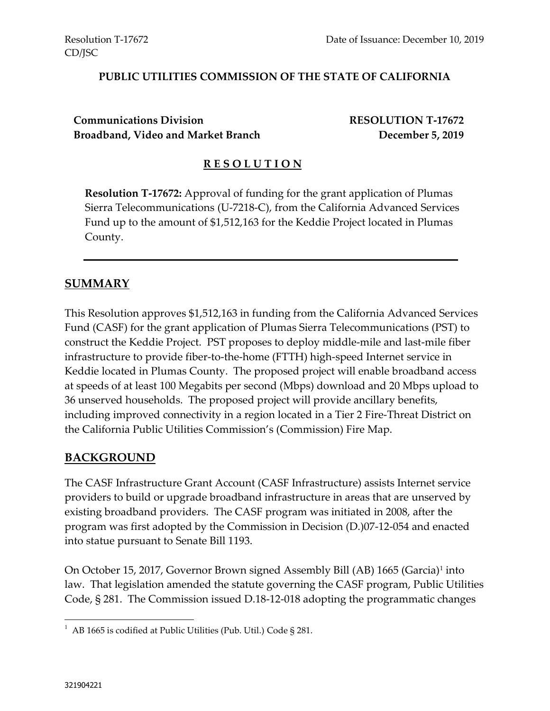#### **PUBLIC UTILITIES COMMISSION OF THE STATE OF CALIFORNIA**

**Communications Division RESOLUTION T-17672 Broadband, Video and Market Branch December 5, 2019**

#### **R E S O L U T I O N**

**Resolution T-17672:** Approval of funding for the grant application of Plumas Sierra Telecommunications (U-7218-C), from the California Advanced Services Fund up to the amount of \$1,512,163 for the Keddie Project located in Plumas County.

#### **SUMMARY**

This Resolution approves \$1,512,163 in funding from the California Advanced Services Fund (CASF) for the grant application of Plumas Sierra Telecommunications (PST) to construct the Keddie Project. PST proposes to deploy middle-mile and last-mile fiber infrastructure to provide fiber-to-the-home (FTTH) high-speed Internet service in Keddie located in Plumas County. The proposed project will enable broadband access at speeds of at least 100 Megabits per second (Mbps) download and 20 Mbps upload to 36 unserved households. The proposed project will provide ancillary benefits, including improved connectivity in a region located in a Tier 2 Fire-Threat District on the California Public Utilities Commission's (Commission) Fire Map.

#### **BACKGROUND**

The CASF Infrastructure Grant Account (CASF Infrastructure) assists Internet service providers to build or upgrade broadband infrastructure in areas that are unserved by existing broadband providers. The CASF program was initiated in 2008, after the program was first adopted by the Commission in Decision (D.)07-12-054 and enacted into statue pursuant to Senate Bill 1193.

On October 15, 2017, Governor Brown signed Assembly Bill (AB) 1665 (Garcia)<sup>1</sup> into law. That legislation amended the statute governing the CASF program, Public Utilities Code, § 281. The Commission issued D.18-12-018 adopting the programmatic changes

<sup>&</sup>lt;sup>1</sup> AB 1665 is codified at Public Utilities (Pub. Util.) Code § 281.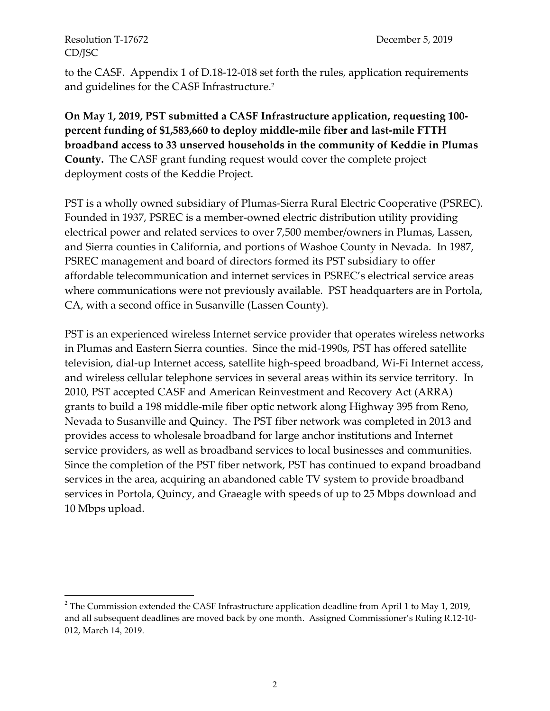$\overline{a}$ 

to the CASF. Appendix 1 of D.18-12-018 set forth the rules, application requirements and guidelines for the CASF Infrastructure.<sup>2</sup>

**On May 1, 2019, PST submitted a CASF Infrastructure application, requesting 100 percent funding of \$1,583,660 to deploy middle-mile fiber and last-mile FTTH broadband access to 33 unserved households in the community of Keddie in Plumas County.** The CASF grant funding request would cover the complete project deployment costs of the Keddie Project.

PST is a wholly owned subsidiary of Plumas-Sierra Rural Electric Cooperative (PSREC). Founded in 1937, PSREC is a member-owned electric distribution utility providing electrical power and related services to over 7,500 member/owners in Plumas, Lassen, and Sierra counties in California, and portions of Washoe County in Nevada. In 1987, PSREC management and board of directors formed its PST subsidiary to offer affordable telecommunication and internet services in PSREC's electrical service areas where communications were not previously available. PST headquarters are in Portola, CA, with a second office in Susanville (Lassen County).

PST is an experienced wireless Internet service provider that operates wireless networks in Plumas and Eastern Sierra counties. Since the mid-1990s, PST has offered satellite television, dial-up Internet access, satellite high-speed broadband, Wi-Fi Internet access, and wireless cellular telephone services in several areas within its service territory. In 2010, PST accepted CASF and American Reinvestment and Recovery Act (ARRA) grants to build a 198 middle-mile fiber optic network along Highway 395 from Reno, Nevada to Susanville and Quincy. The PST fiber network was completed in 2013 and provides access to wholesale broadband for large anchor institutions and Internet service providers, as well as broadband services to local businesses and communities. Since the completion of the PST fiber network, PST has continued to expand broadband services in the area, acquiring an abandoned cable TV system to provide broadband services in Portola, Quincy, and Graeagle with speeds of up to 25 Mbps download and 10 Mbps upload.

 $2$  The Commission extended the CASF Infrastructure application deadline from April 1 to May 1, 2019, and all subsequent deadlines are moved back by one month. Assigned Commissioner's Ruling R.12-10- 012, March 14, 2019.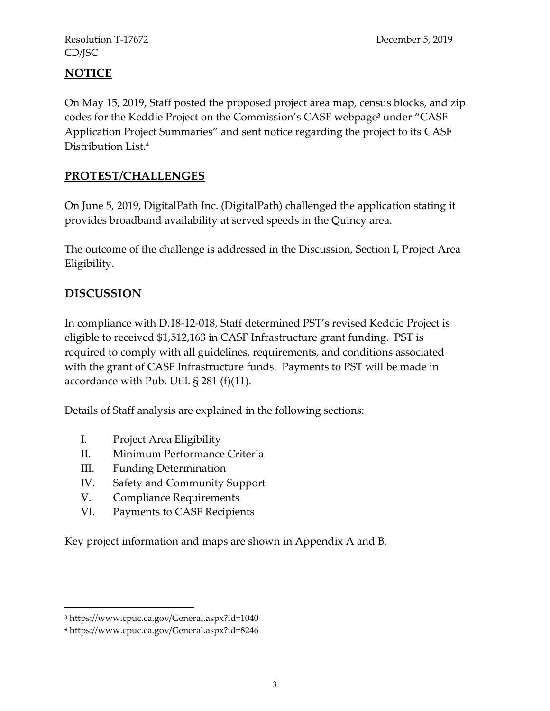# **NOTICE**

On May 15, 2019, Staff posted the proposed project area map, census blocks, and zip codes for the Keddie Project on the Commission's CASF webpage<sup>3</sup> under "CASF Application Project Summaries" and sent notice regarding the project to its CASF Distribution List.<sup>4</sup>

## **PROTEST/CHALLENGES**

On June 5, 2019, DigitalPath Inc. (DigitalPath) challenged the application stating it provides broadband availability at served speeds in the Quincy area.

The outcome of the challenge is addressed in the Discussion, Section I, Project Area Eligibility.

## **DISCUSSION**

In compliance with D.18-12-018, Staff determined PST's revised Keddie Project is eligible to received \$1,512,163 in CASF Infrastructure grant funding. PST is required to comply with all guidelines, requirements, and conditions associated with the grant of CASF Infrastructure funds. Payments to PST will be made in accordance with Pub. Util. § 281 (f)(11).

Details of Staff analysis are explained in the following sections:

- I. Project Area Eligibility
- II. Minimum Performance Criteria
- III. Funding Determination
- IV. Safety and Community Support
- V. Compliance Requirements
- VI. Payments to CASF Recipients

Key project information and maps are shown in Appendix A and B.

<sup>3</sup> https://www.cpuc.ca.gov/General.aspx?id=1040

<sup>4</sup> https://www.cpuc.ca.gov/General.aspx?id=8246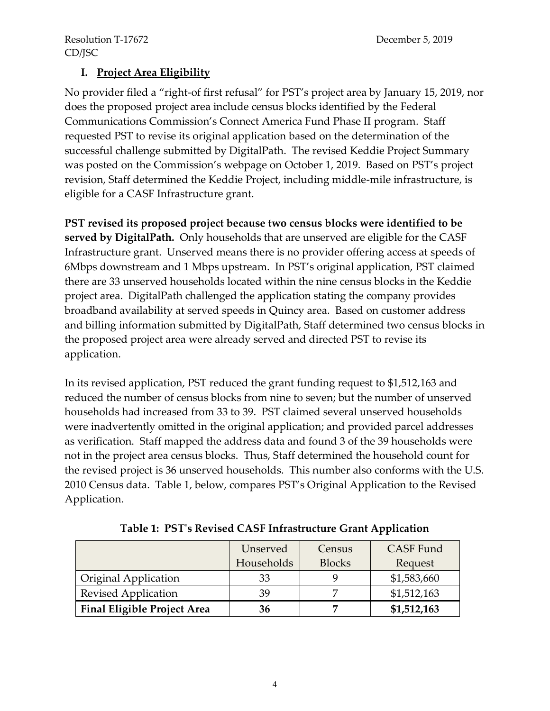## **I. Project Area Eligibility**

No provider filed a "right-of first refusal" for PST's project area by January 15, 2019, nor does the proposed project area include census blocks identified by the Federal Communications Commission's Connect America Fund Phase II program. Staff requested PST to revise its original application based on the determination of the successful challenge submitted by DigitalPath. The revised Keddie Project Summary was posted on the Commission's webpage on October 1, 2019. Based on PST's project revision, Staff determined the Keddie Project, including middle-mile infrastructure, is eligible for a CASF Infrastructure grant.

**PST revised its proposed project because two census blocks were identified to be served by DigitalPath.** Only households that are unserved are eligible for the CASF Infrastructure grant. Unserved means there is no provider offering access at speeds of 6Mbps downstream and 1 Mbps upstream. In PST's original application, PST claimed there are 33 unserved households located within the nine census blocks in the Keddie project area. DigitalPath challenged the application stating the company provides broadband availability at served speeds in Quincy area. Based on customer address and billing information submitted by DigitalPath, Staff determined two census blocks in the proposed project area were already served and directed PST to revise its application.

In its revised application, PST reduced the grant funding request to \$1,512,163 and reduced the number of census blocks from nine to seven; but the number of unserved households had increased from 33 to 39. PST claimed several unserved households were inadvertently omitted in the original application; and provided parcel addresses as verification. Staff mapped the address data and found 3 of the 39 households were not in the project area census blocks. Thus, Staff determined the household count for the revised project is 36 unserved households. This number also conforms with the U.S. 2010 Census data. Table 1, below, compares PST's Original Application to the Revised Application.

|                                    | Unserved   | Census        | CASF Fund   |
|------------------------------------|------------|---------------|-------------|
|                                    | Households | <b>Blocks</b> | Request     |
| <b>Original Application</b>        | 33         |               | \$1,583,660 |
| <b>Revised Application</b>         | 39         |               | \$1,512,163 |
| <b>Final Eligible Project Area</b> | 36         |               | \$1,512,163 |

**Table 1: PST's Revised CASF Infrastructure Grant Application**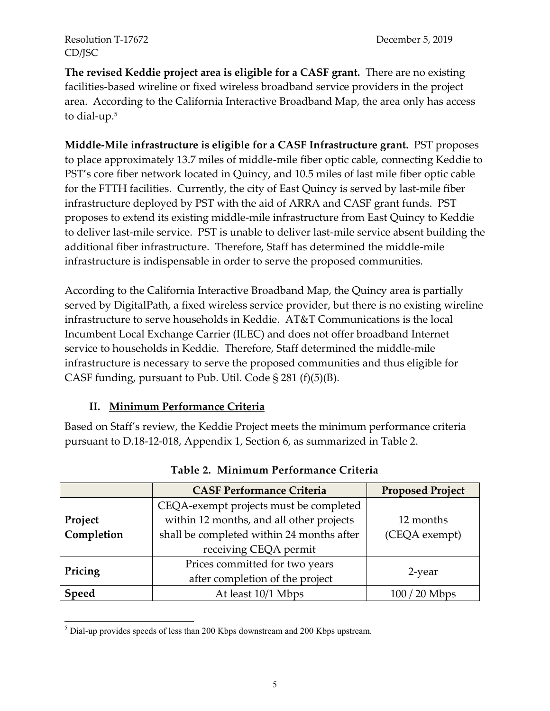**The revised Keddie project area is eligible for a CASF grant.** There are no existing facilities-based wireline or fixed wireless broadband service providers in the project area. According to the California Interactive Broadband Map, the area only has access to dial-up.<sup>5</sup>

**Middle-Mile infrastructure is eligible for a CASF Infrastructure grant.** PST proposes to place approximately 13.7 miles of middle-mile fiber optic cable, connecting Keddie to PST's core fiber network located in Quincy, and 10.5 miles of last mile fiber optic cable for the FTTH facilities. Currently, the city of East Quincy is served by last-mile fiber infrastructure deployed by PST with the aid of ARRA and CASF grant funds. PST proposes to extend its existing middle-mile infrastructure from East Quincy to Keddie to deliver last-mile service. PST is unable to deliver last-mile service absent building the additional fiber infrastructure. Therefore, Staff has determined the middle-mile infrastructure is indispensable in order to serve the proposed communities.

According to the California Interactive Broadband Map, the Quincy area is partially served by DigitalPath, a fixed wireless service provider, but there is no existing wireline infrastructure to serve households in Keddie. AT&T Communications is the local Incumbent Local Exchange Carrier (ILEC) and does not offer broadband Internet service to households in Keddie. Therefore, Staff determined the middle-mile infrastructure is necessary to serve the proposed communities and thus eligible for CASF funding, pursuant to Pub. Util. Code § 281 (f)(5)(B).

#### **II. Minimum Performance Criteria**

Based on Staff's review, the Keddie Project meets the minimum performance criteria pursuant to D.18-12-018, Appendix 1, Section 6, as summarized in Table 2.

|            | <b>CASF Performance Criteria</b>          | <b>Proposed Project</b> |  |
|------------|-------------------------------------------|-------------------------|--|
|            | CEQA-exempt projects must be completed    |                         |  |
| Project    | within 12 months, and all other projects  | 12 months               |  |
| Completion | shall be completed within 24 months after | (CEQA exempt)           |  |
|            | receiving CEQA permit                     |                         |  |
|            | Prices committed for two years            |                         |  |
| Pricing    | after completion of the project           | 2-year                  |  |
| Speed      | At least 10/1 Mbps                        | 100 / 20 Mbps           |  |

**Table 2. Minimum Performance Criteria**

 $\overline{a}$  $<sup>5</sup>$  Dial-up provides speeds of less than 200 Kbps downstream and 200 Kbps upstream.</sup>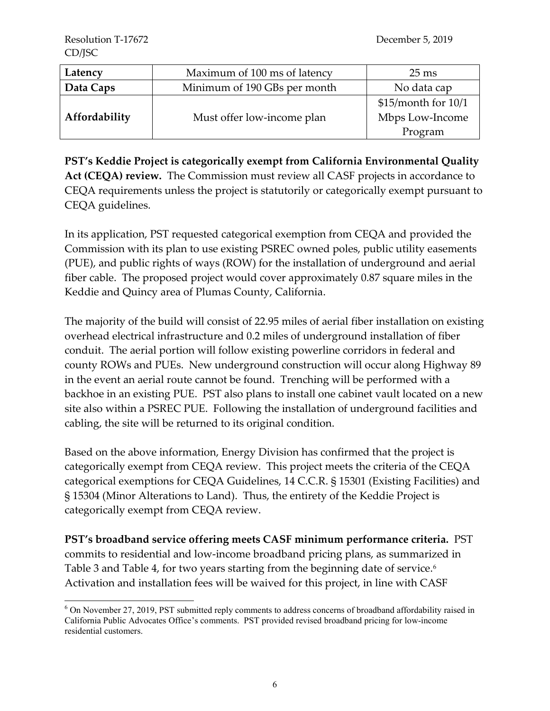| Latency       | Maximum of 100 ms of latency | $25 \text{ ms}$     |
|---------------|------------------------------|---------------------|
| Data Caps     | Minimum of 190 GBs per month | No data cap         |
|               |                              | \$15/month for 10/1 |
| Affordability | Must offer low-income plan   | Mbps Low-Income     |
|               |                              | Program             |

**PST's Keddie Project is categorically exempt from California Environmental Quality Act (CEQA) review.** The Commission must review all CASF projects in accordance to CEQA requirements unless the project is statutorily or categorically exempt pursuant to CEQA guidelines.

In its application, PST requested categorical exemption from CEQA and provided the Commission with its plan to use existing PSREC owned poles, public utility easements (PUE), and public rights of ways (ROW) for the installation of underground and aerial fiber cable. The proposed project would cover approximately 0.87 square miles in the Keddie and Quincy area of Plumas County, California.

The majority of the build will consist of 22.95 miles of aerial fiber installation on existing overhead electrical infrastructure and 0.2 miles of underground installation of fiber conduit. The aerial portion will follow existing powerline corridors in federal and county ROWs and PUEs. New underground construction will occur along Highway 89 in the event an aerial route cannot be found. Trenching will be performed with a backhoe in an existing PUE. PST also plans to install one cabinet vault located on a new site also within a PSREC PUE. Following the installation of underground facilities and cabling, the site will be returned to its original condition.

Based on the above information, Energy Division has confirmed that the project is categorically exempt from CEQA review. This project meets the criteria of the CEQA categorical exemptions for CEQA Guidelines, 14 C.C.R. § 15301 (Existing Facilities) and § 15304 (Minor Alterations to Land). Thus, the entirety of the Keddie Project is categorically exempt from CEQA review.

**PST's broadband service offering meets CASF minimum performance criteria.** PST commits to residential and low-income broadband pricing plans, as summarized in Table 3 and Table 4, for two years starting from the beginning date of service. $^{\rm 6}$ Activation and installation fees will be waived for this project, in line with CASF

 $\overline{a}$ <sup>6</sup> On November 27, 2019, PST submitted reply comments to address concerns of broadband affordability raised in California Public Advocates Office's comments. PST provided revised broadband pricing for low-income residential customers.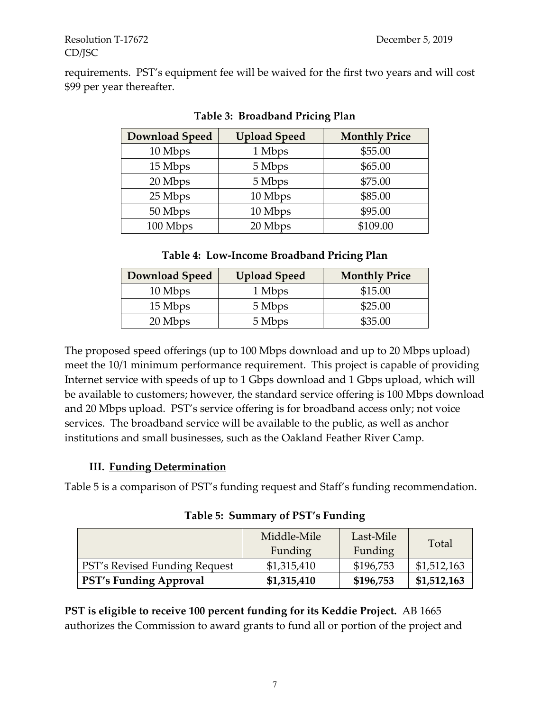requirements. PST's equipment fee will be waived for the first two years and will cost \$99 per year thereafter.

| <b>Download Speed</b> | <b>Upload Speed</b> | <b>Monthly Price</b> |
|-----------------------|---------------------|----------------------|
| 10 Mbps               | 1 Mbps              | \$55.00              |
| 15 Mbps               | 5 Mbps              | \$65.00              |
| 20 Mbps               | 5 Mbps              | \$75.00              |
| 25 Mbps               | 10 Mbps             | \$85.00              |
| 50 Mbps               | 10 Mbps             | \$95.00              |
| 100 Mbps              | 20 Mbps             | \$109.00             |

**Table 3: Broadband Pricing Plan**

#### **Table 4: Low-Income Broadband Pricing Plan**

| <b>Download Speed</b> | <b>Upload Speed</b> | <b>Monthly Price</b> |
|-----------------------|---------------------|----------------------|
| 10 Mbps               | 1 Mbps              | \$15.00              |
| 15 Mbps               | 5 Mbps              | \$25.00              |
| 20 Mbps               | 5 Mbps              | \$35.00              |

The proposed speed offerings (up to 100 Mbps download and up to 20 Mbps upload) meet the 10/1 minimum performance requirement. This project is capable of providing Internet service with speeds of up to 1 Gbps download and 1 Gbps upload, which will be available to customers; however, the standard service offering is 100 Mbps download and 20 Mbps upload. PST's service offering is for broadband access only; not voice services. The broadband service will be available to the public, as well as anchor institutions and small businesses, such as the Oakland Feather River Camp.

#### **III. Funding Determination**

Table 5 is a comparison of PST's funding request and Staff's funding recommendation.

|                               | Middle-Mile<br>Funding | Last-Mile<br>Funding | Total       |
|-------------------------------|------------------------|----------------------|-------------|
| PST's Revised Funding Request | \$1,315,410            | \$196,753            | \$1,512,163 |
| <b>PST's Funding Approval</b> | \$1,315,410            | \$196,753            | \$1,512,163 |

**Table 5: Summary of PST's Funding**

**PST is eligible to receive 100 percent funding for its Keddie Project.** AB 1665 authorizes the Commission to award grants to fund all or portion of the project and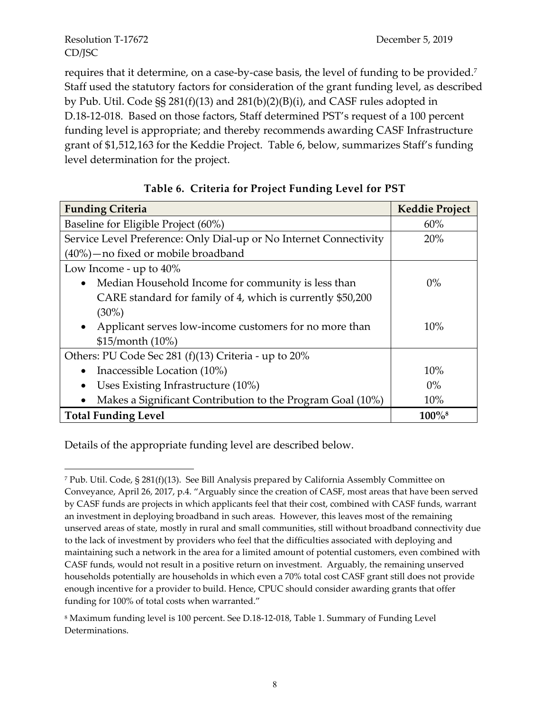$\overline{a}$ 

requires that it determine, on a case-by-case basis, the level of funding to be provided.<sup>7</sup> Staff used the statutory factors for consideration of the grant funding level, as described by Pub. Util. Code §§ 281(f)(13) and 281(b)(2)(B)(i), and CASF rules adopted in D.18-12-018. Based on those factors, Staff determined PST's request of a 100 percent funding level is appropriate; and thereby recommends awarding CASF Infrastructure grant of \$1,512,163 for the Keddie Project. Table 6, below, summarizes Staff's funding level determination for the project.

| <b>Funding Criteria</b>                                            | <b>Keddie Project</b> |
|--------------------------------------------------------------------|-----------------------|
| Baseline for Eligible Project (60%)                                | 60%                   |
| Service Level Preference: Only Dial-up or No Internet Connectivity | 20%                   |
| $(40\%)$ - no fixed or mobile broadband                            |                       |
| Low Income - up to 40%                                             |                       |
| Median Household Income for community is less than                 | $0\%$                 |
| CARE standard for family of 4, which is currently \$50,200         |                       |
| $(30\%)$                                                           |                       |
| Applicant serves low-income customers for no more than             | 10%                   |
| \$15/month (10%)                                                   |                       |
| Others: PU Code Sec 281 (f)(13) Criteria - up to 20%               |                       |
| Inaccessible Location (10%)                                        | 10%                   |
| Uses Existing Infrastructure (10%)                                 | $0\%$                 |
| Makes a Significant Contribution to the Program Goal (10%)         | 10%                   |
| <b>Total Funding Level</b>                                         | $100\%$ <sup>8</sup>  |

Details of the appropriate funding level are described below.

<sup>7</sup> Pub. Util. Code, § 281(f)(13). See Bill Analysis prepared by California Assembly Committee on Conveyance, April 26, 2017, p.4. "Arguably since the creation of CASF, most areas that have been served by CASF funds are projects in which applicants feel that their cost, combined with CASF funds, warrant an investment in deploying broadband in such areas. However, this leaves most of the remaining unserved areas of state, mostly in rural and small communities, still without broadband connectivity due to the lack of investment by providers who feel that the difficulties associated with deploying and maintaining such a network in the area for a limited amount of potential customers, even combined with CASF funds, would not result in a positive return on investment. Arguably, the remaining unserved households potentially are households in which even a 70% total cost CASF grant still does not provide enough incentive for a provider to build. Hence, CPUC should consider awarding grants that offer funding for 100% of total costs when warranted."

<sup>8</sup> Maximum funding level is 100 percent. See D.18-12-018, Table 1. Summary of Funding Level Determinations.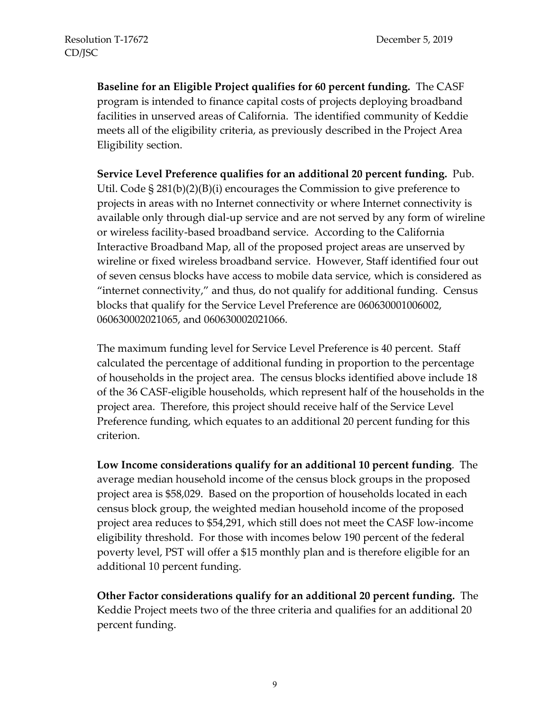**Baseline for an Eligible Project qualifies for 60 percent funding.** The CASF program is intended to finance capital costs of projects deploying broadband facilities in unserved areas of California. The identified community of Keddie meets all of the eligibility criteria, as previously described in the Project Area Eligibility section.

**Service Level Preference qualifies for an additional 20 percent funding.** Pub. Util. Code § 281(b)(2)(B)(i) encourages the Commission to give preference to projects in areas with no Internet connectivity or where Internet connectivity is available only through dial-up service and are not served by any form of wireline or wireless facility-based broadband service. According to the California Interactive Broadband Map, all of the proposed project areas are unserved by wireline or fixed wireless broadband service. However, Staff identified four out of seven census blocks have access to mobile data service, which is considered as "internet connectivity," and thus, do not qualify for additional funding. Census blocks that qualify for the Service Level Preference are 060630001006002, 060630002021065, and 060630002021066.

The maximum funding level for Service Level Preference is 40 percent. Staff calculated the percentage of additional funding in proportion to the percentage of households in the project area. The census blocks identified above include 18 of the 36 CASF-eligible households, which represent half of the households in the project area. Therefore, this project should receive half of the Service Level Preference funding, which equates to an additional 20 percent funding for this criterion.

**Low Income considerations qualify for an additional 10 percent funding**. The average median household income of the census block groups in the proposed project area is \$58,029. Based on the proportion of households located in each census block group, the weighted median household income of the proposed project area reduces to \$54,291, which still does not meet the CASF low-income eligibility threshold. For those with incomes below 190 percent of the federal poverty level, PST will offer a \$15 monthly plan and is therefore eligible for an additional 10 percent funding.

**Other Factor considerations qualify for an additional 20 percent funding.** The Keddie Project meets two of the three criteria and qualifies for an additional 20 percent funding.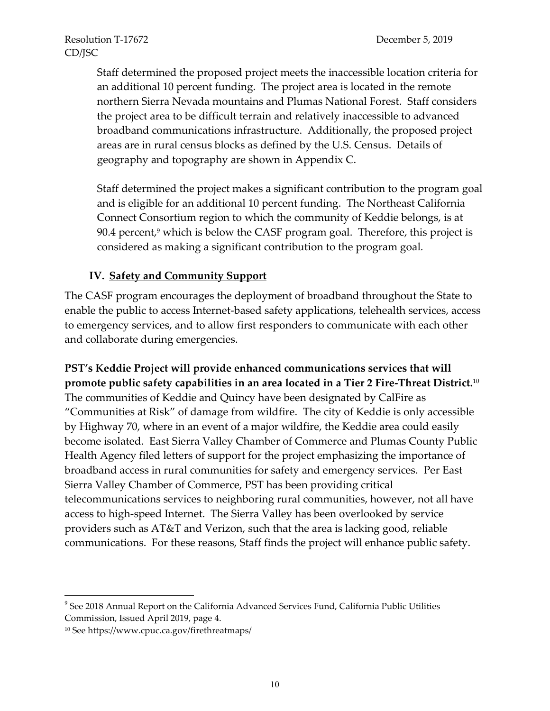Staff determined the proposed project meets the inaccessible location criteria for an additional 10 percent funding. The project area is located in the remote northern Sierra Nevada mountains and Plumas National Forest. Staff considers the project area to be difficult terrain and relatively inaccessible to advanced broadband communications infrastructure. Additionally, the proposed project areas are in rural census blocks as defined by the U.S. Census. Details of geography and topography are shown in Appendix C.

Staff determined the project makes a significant contribution to the program goal and is eligible for an additional 10 percent funding. The Northeast California Connect Consortium region to which the community of Keddie belongs, is at 90.4 percent,<sup>9</sup> which is below the CASF program goal. Therefore, this project is considered as making a significant contribution to the program goal.

#### **IV. Safety and Community Support**

The CASF program encourages the deployment of broadband throughout the State to enable the public to access Internet-based safety applications, telehealth services, access to emergency services, and to allow first responders to communicate with each other and collaborate during emergencies.

**PST's Keddie Project will provide enhanced communications services that will promote public safety capabilities in an area located in a Tier 2 Fire-Threat District.**<sup>10</sup> The communities of Keddie and Quincy have been designated by CalFire as "Communities at Risk" of damage from wildfire. The city of Keddie is only accessible by Highway 70, where in an event of a major wildfire, the Keddie area could easily become isolated. East Sierra Valley Chamber of Commerce and Plumas County Public Health Agency filed letters of support for the project emphasizing the importance of broadband access in rural communities for safety and emergency services. Per East Sierra Valley Chamber of Commerce, PST has been providing critical telecommunications services to neighboring rural communities, however, not all have access to high-speed Internet. The Sierra Valley has been overlooked by service providers such as AT&T and Verizon, such that the area is lacking good, reliable communications. For these reasons, Staff finds the project will enhance public safety.

 $9$  See 2018 Annual Report on the California Advanced Services Fund, California Public Utilities Commission, Issued April 2019, page 4.

<sup>10</sup> See https://www.cpuc.ca.gov/firethreatmaps/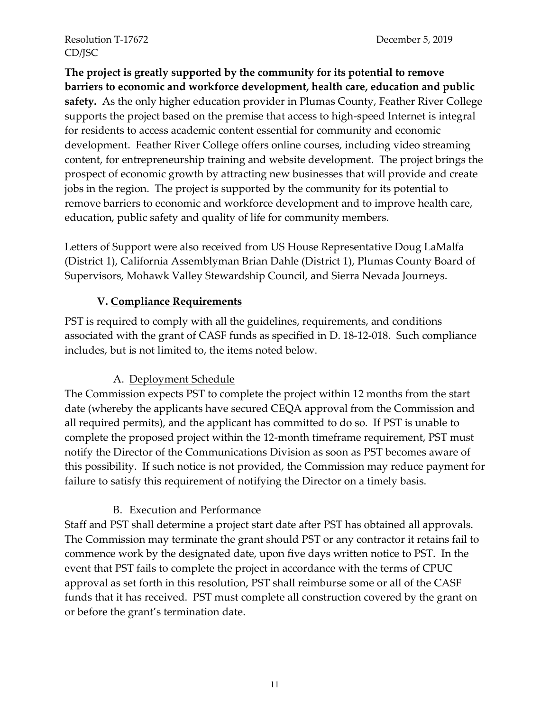**The project is greatly supported by the community for its potential to remove barriers to economic and workforce development, health care, education and public safety.** As the only higher education provider in Plumas County, Feather River College supports the project based on the premise that access to high-speed Internet is integral for residents to access academic content essential for community and economic development. Feather River College offers online courses, including video streaming content, for entrepreneurship training and website development. The project brings the prospect of economic growth by attracting new businesses that will provide and create jobs in the region. The project is supported by the community for its potential to remove barriers to economic and workforce development and to improve health care, education, public safety and quality of life for community members.

Letters of Support were also received from US House Representative Doug LaMalfa (District 1), California Assemblyman Brian Dahle (District 1), Plumas County Board of Supervisors, Mohawk Valley Stewardship Council, and Sierra Nevada Journeys.

### **V. Compliance Requirements**

PST is required to comply with all the guidelines, requirements, and conditions associated with the grant of CASF funds as specified in D. 18-12-018. Such compliance includes, but is not limited to, the items noted below.

#### A. Deployment Schedule

The Commission expects PST to complete the project within 12 months from the start date (whereby the applicants have secured CEQA approval from the Commission and all required permits), and the applicant has committed to do so. If PST is unable to complete the proposed project within the 12-month timeframe requirement, PST must notify the Director of the Communications Division as soon as PST becomes aware of this possibility. If such notice is not provided, the Commission may reduce payment for failure to satisfy this requirement of notifying the Director on a timely basis.

#### B. Execution and Performance

Staff and PST shall determine a project start date after PST has obtained all approvals. The Commission may terminate the grant should PST or any contractor it retains fail to commence work by the designated date, upon five days written notice to PST. In the event that PST fails to complete the project in accordance with the terms of CPUC approval as set forth in this resolution, PST shall reimburse some or all of the CASF funds that it has received. PST must complete all construction covered by the grant on or before the grant's termination date.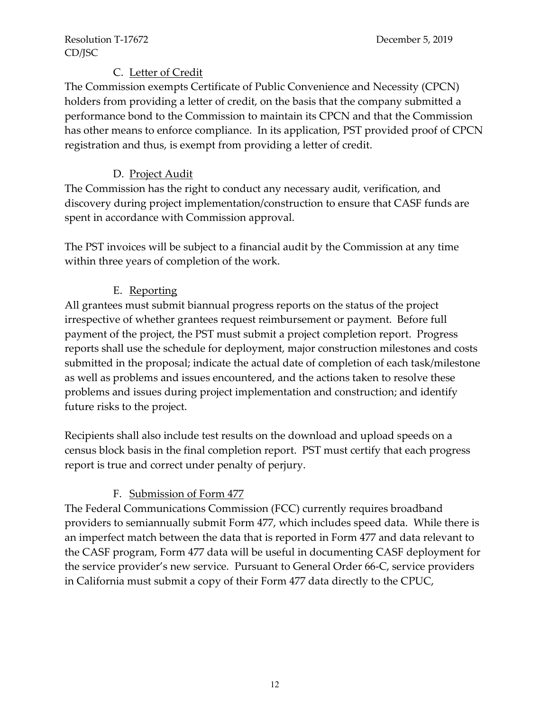### C. Letter of Credit

The Commission exempts Certificate of Public Convenience and Necessity (CPCN) holders from providing a letter of credit, on the basis that the company submitted a performance bond to the Commission to maintain its CPCN and that the Commission has other means to enforce compliance. In its application, PST provided proof of CPCN registration and thus, is exempt from providing a letter of credit.

### D. Project Audit

The Commission has the right to conduct any necessary audit, verification, and discovery during project implementation/construction to ensure that CASF funds are spent in accordance with Commission approval.

The PST invoices will be subject to a financial audit by the Commission at any time within three years of completion of the work.

### E. Reporting

All grantees must submit biannual progress reports on the status of the project irrespective of whether grantees request reimbursement or payment. Before full payment of the project, the PST must submit a project completion report. Progress reports shall use the schedule for deployment, major construction milestones and costs submitted in the proposal; indicate the actual date of completion of each task/milestone as well as problems and issues encountered, and the actions taken to resolve these problems and issues during project implementation and construction; and identify future risks to the project.

Recipients shall also include test results on the download and upload speeds on a census block basis in the final completion report. PST must certify that each progress report is true and correct under penalty of perjury.

### F. Submission of Form 477

The Federal Communications Commission (FCC) currently requires broadband providers to semiannually submit Form 477, which includes speed data. While there is an imperfect match between the data that is reported in Form 477 and data relevant to the CASF program, Form 477 data will be useful in documenting CASF deployment for the service provider's new service. Pursuant to General Order 66-C, service providers in California must submit a copy of their Form 477 data directly to the CPUC,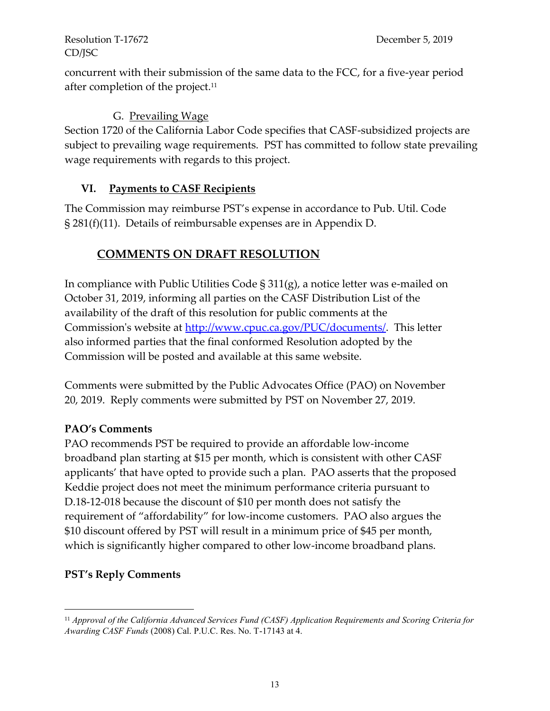concurrent with their submission of the same data to the FCC, for a five-year period after completion of the project.<sup>11</sup>

### G. Prevailing Wage

Section 1720 of the California Labor Code specifies that CASF-subsidized projects are subject to prevailing wage requirements. PST has committed to follow state prevailing wage requirements with regards to this project.

### **VI. Payments to CASF Recipients**

The Commission may reimburse PST's expense in accordance to Pub. Util. Code § 281(f)(11). Details of reimbursable expenses are in Appendix D.

# **COMMENTS ON DRAFT RESOLUTION**

In compliance with Public Utilities Code § 311(g), a notice letter was e-mailed on October 31, 2019, informing all parties on the CASF Distribution List of the availability of the draft of this resolution for public comments at the Commission's website at [http://www.cpuc.ca.gov/PUC/documents/.](http://www.cpuc.ca.gov/PUC/documents/) This letter also informed parties that the final conformed Resolution adopted by the Commission will be posted and available at this same website.

Comments were submitted by the Public Advocates Office (PAO) on November 20, 2019. Reply comments were submitted by PST on November 27, 2019.

### **PAO's Comments**

PAO recommends PST be required to provide an affordable low-income broadband plan starting at \$15 per month, which is consistent with other CASF applicants' that have opted to provide such a plan. PAO asserts that the proposed Keddie project does not meet the minimum performance criteria pursuant to D.18-12-018 because the discount of \$10 per month does not satisfy the requirement of "affordability" for low-income customers. PAO also argues the \$10 discount offered by PST will result in a minimum price of \$45 per month, which is significantly higher compared to other low-income broadband plans.

### **PST's Reply Comments**

<sup>11</sup> *Approval of the California Advanced Services Fund (CASF) Application Requirements and Scoring Criteria for Awarding CASF Funds* (2008) Cal. P.U.C. Res. No. T-17143 at 4.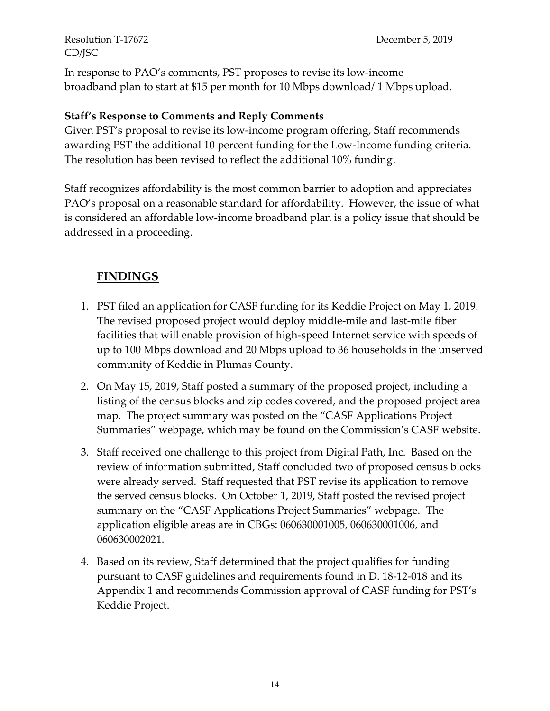In response to PAO's comments, PST proposes to revise its low-income broadband plan to start at \$15 per month for 10 Mbps download/ 1 Mbps upload.

### **Staff's Response to Comments and Reply Comments**

Given PST's proposal to revise its low-income program offering, Staff recommends awarding PST the additional 10 percent funding for the Low-Income funding criteria. The resolution has been revised to reflect the additional 10% funding.

Staff recognizes affordability is the most common barrier to adoption and appreciates PAO's proposal on a reasonable standard for affordability. However, the issue of what is considered an affordable low-income broadband plan is a policy issue that should be addressed in a proceeding.

## **FINDINGS**

- 1. PST filed an application for CASF funding for its Keddie Project on May 1, 2019. The revised proposed project would deploy middle-mile and last-mile fiber facilities that will enable provision of high-speed Internet service with speeds of up to 100 Mbps download and 20 Mbps upload to 36 households in the unserved community of Keddie in Plumas County.
- 2. On May 15, 2019, Staff posted a summary of the proposed project, including a listing of the census blocks and zip codes covered, and the proposed project area map. The project summary was posted on the "CASF Applications Project Summaries" webpage, which may be found on the Commission's CASF website.
- 3. Staff received one challenge to this project from Digital Path, Inc. Based on the review of information submitted, Staff concluded two of proposed census blocks were already served. Staff requested that PST revise its application to remove the served census blocks. On October 1, 2019, Staff posted the revised project summary on the "CASF Applications Project Summaries" webpage. The application eligible areas are in CBGs: 060630001005, 060630001006, and 060630002021.
- 4. Based on its review, Staff determined that the project qualifies for funding pursuant to CASF guidelines and requirements found in D. 18-12-018 and its Appendix 1 and recommends Commission approval of CASF funding for PST's Keddie Project.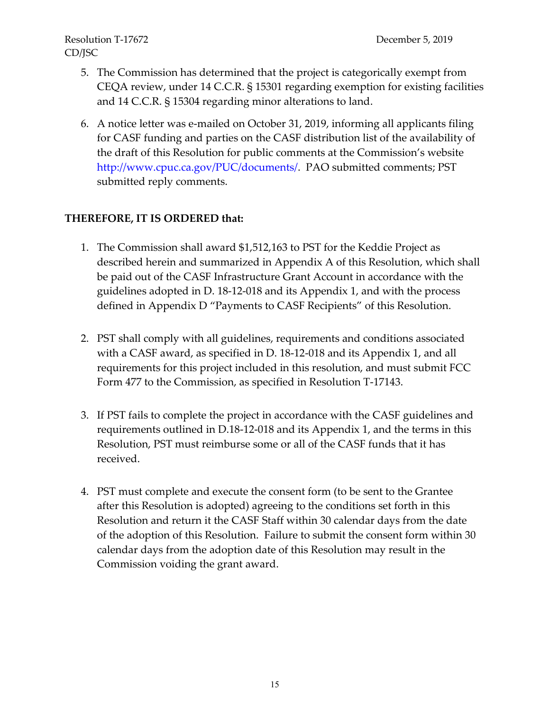- 5. The Commission has determined that the project is categorically exempt from CEQA review, under 14 C.C.R. § 15301 regarding exemption for existing facilities and 14 C.C.R. § 15304 regarding minor alterations to land.
- 6. A notice letter was e-mailed on October 31, 2019, informing all applicants filing for CASF funding and parties on the CASF distribution list of the availability of the draft of this Resolution for public comments at the Commission's website http://www.cpuc.ca.gov/PUC/documents/. PAO submitted comments; PST submitted reply comments.

### **THEREFORE, IT IS ORDERED that:**

- 1. The Commission shall award \$1,512,163 to PST for the Keddie Project as described herein and summarized in Appendix A of this Resolution, which shall be paid out of the CASF Infrastructure Grant Account in accordance with the guidelines adopted in D. 18-12-018 and its Appendix 1, and with the process defined in Appendix D "Payments to CASF Recipients" of this Resolution.
- 2. PST shall comply with all guidelines, requirements and conditions associated with a CASF award, as specified in D. 18-12-018 and its Appendix 1, and all requirements for this project included in this resolution, and must submit FCC Form 477 to the Commission, as specified in Resolution T-17143.
- 3. If PST fails to complete the project in accordance with the CASF guidelines and requirements outlined in D.18-12-018 and its Appendix 1, and the terms in this Resolution, PST must reimburse some or all of the CASF funds that it has received.
- 4. PST must complete and execute the consent form (to be sent to the Grantee after this Resolution is adopted) agreeing to the conditions set forth in this Resolution and return it the CASF Staff within 30 calendar days from the date of the adoption of this Resolution. Failure to submit the consent form within 30 calendar days from the adoption date of this Resolution may result in the Commission voiding the grant award.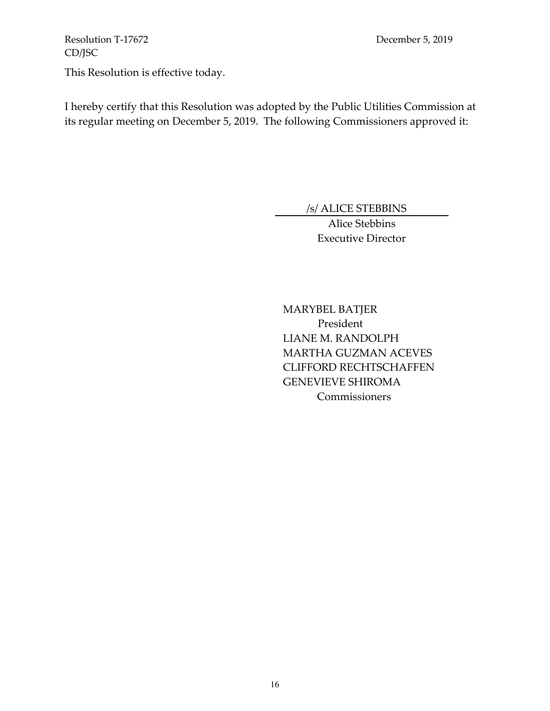This Resolution is effective today.

I hereby certify that this Resolution was adopted by the Public Utilities Commission at its regular meeting on December 5, 2019. The following Commissioners approved it:

/s/ ALICE STEBBINS

 Alice Stebbins Executive Director

MARYBEL BATJER President LIANE M. RANDOLPH MARTHA GUZMAN ACEVES CLIFFORD RECHTSCHAFFEN GENEVIEVE SHIROMA **Commissioners**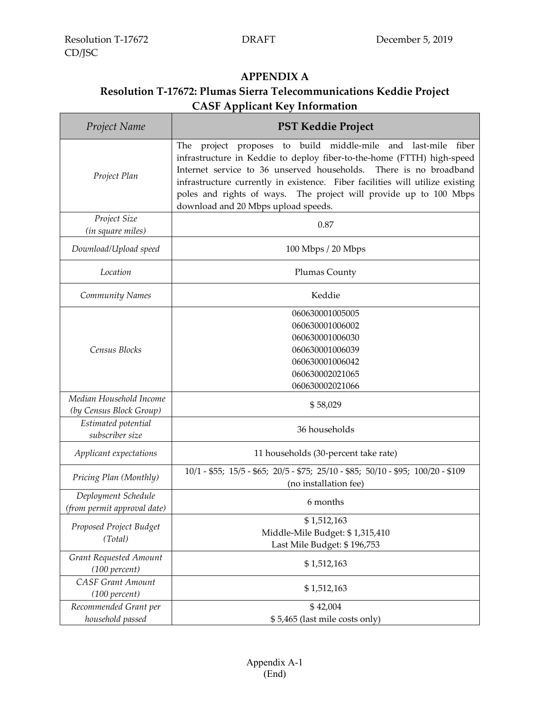# **APPENDIX A Resolution T-17672: Plumas Sierra Telecommunications Keddie Project CASF Applicant Key Information**

| Project Name                                       | <b>PST Keddie Project</b>                                                                                                                                                                                                                                                                                                                                                                                                |
|----------------------------------------------------|--------------------------------------------------------------------------------------------------------------------------------------------------------------------------------------------------------------------------------------------------------------------------------------------------------------------------------------------------------------------------------------------------------------------------|
| Project Plan                                       | project proposes to build middle-mile<br>and<br>last-mile<br>fiber<br>The<br>infrastructure in Keddie to deploy fiber-to-the-home (FTTH) high-speed<br>Internet service to 36 unserved households.<br>There is no broadband<br>infrastructure currently in existence. Fiber facilities will utilize existing<br>poles and rights of ways. The project will provide up to 100 Mbps<br>download and 20 Mbps upload speeds. |
| Project Size<br>(in square miles)                  | 0.87                                                                                                                                                                                                                                                                                                                                                                                                                     |
| Download/Upload speed                              | 100 Mbps / 20 Mbps                                                                                                                                                                                                                                                                                                                                                                                                       |
| Location                                           | Plumas County                                                                                                                                                                                                                                                                                                                                                                                                            |
| Community Names                                    | Keddie                                                                                                                                                                                                                                                                                                                                                                                                                   |
| Census Blocks                                      | 060630001005005<br>060630001006002<br>060630001006030<br>060630001006039<br>060630001006042<br>060630002021065<br>060630002021066                                                                                                                                                                                                                                                                                        |
| Median Household Income<br>(by Census Block Group) | \$58,029                                                                                                                                                                                                                                                                                                                                                                                                                 |
| Estimated potential<br>subscriber size             | 36 households                                                                                                                                                                                                                                                                                                                                                                                                            |
| Applicant expectations                             | 11 households (30-percent take rate)                                                                                                                                                                                                                                                                                                                                                                                     |
| Pricing Plan (Monthly)                             | 10/1 - \$55; 15/5 - \$65; 20/5 - \$75; 25/10 - \$85; 50/10 - \$95; 100/20 - \$109<br>(no installation fee)                                                                                                                                                                                                                                                                                                               |
| Deployment Schedule<br>(from permit approval date) | 6 months                                                                                                                                                                                                                                                                                                                                                                                                                 |
| Proposed Project Budget<br>(Total)                 | \$1,512,163<br>Middle-Mile Budget: \$1,315,410<br>Last Mile Budget: \$196,753                                                                                                                                                                                                                                                                                                                                            |
| Grant Requested Amount<br>(100 percent)            | \$1,512,163                                                                                                                                                                                                                                                                                                                                                                                                              |
| <b>CASF Grant Amount</b><br>(100 percent)          | \$1,512,163                                                                                                                                                                                                                                                                                                                                                                                                              |
| Recommended Grant per<br>household passed          | \$42,004<br>\$5,465 (last mile costs only)                                                                                                                                                                                                                                                                                                                                                                               |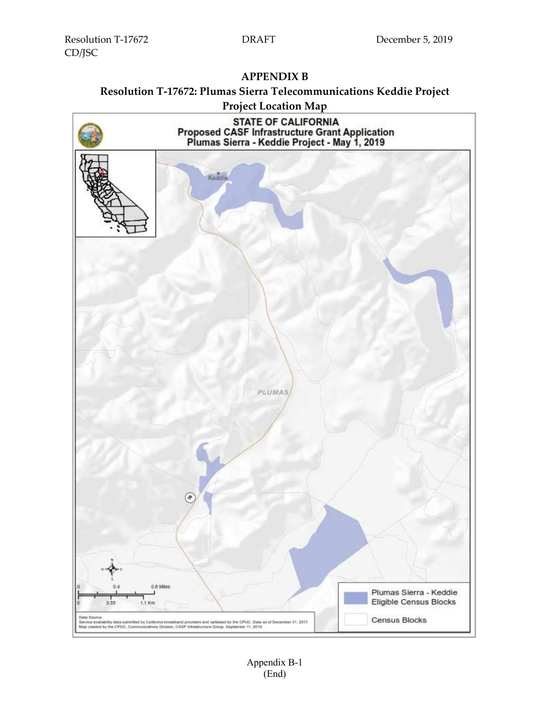### **APPENDIX B Resolution T-17672: Plumas Sierra Telecommunications Keddie Project Project Location Map**

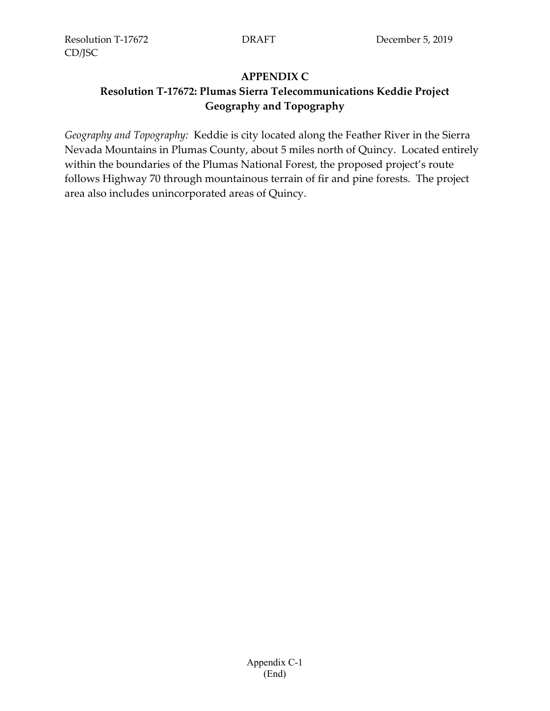## **APPENDIX C Resolution T-17672: Plumas Sierra Telecommunications Keddie Project Geography and Topography**

*Geography and Topography:* Keddie is city located along the Feather River in the Sierra Nevada Mountains in Plumas County, about 5 miles north of Quincy. Located entirely within the boundaries of the Plumas National Forest, the proposed project's route follows Highway 70 through mountainous terrain of fir and pine forests. The project area also includes unincorporated areas of Quincy.